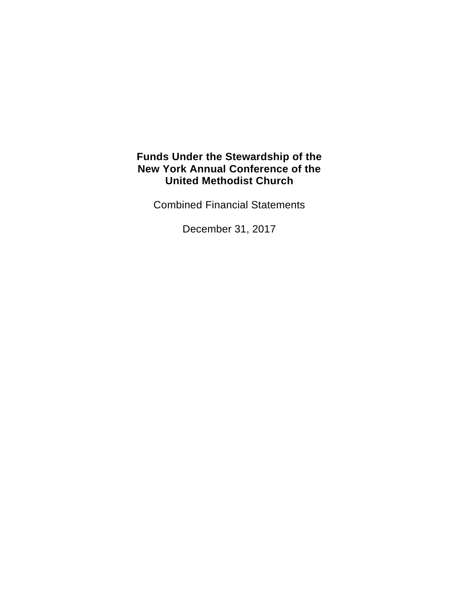Combined Financial Statements

December 31, 2017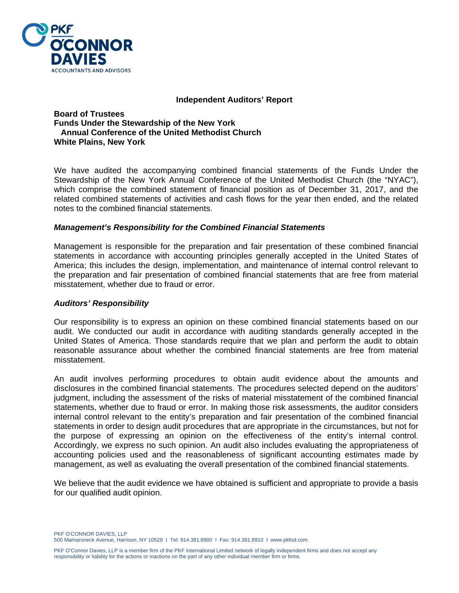

#### **Independent Auditors' Report**

**Board of Trustees Funds Under the Stewardship of the New York Annual Conference of the United Methodist Church White Plains, New York** 

We have audited the accompanying combined financial statements of the Funds Under the Stewardship of the New York Annual Conference of the United Methodist Church (the "NYAC"), which comprise the combined statement of financial position as of December 31, 2017, and the related combined statements of activities and cash flows for the year then ended, and the related notes to the combined financial statements.

#### *Management's Responsibility for the Combined Financial Statements*

Management is responsible for the preparation and fair presentation of these combined financial statements in accordance with accounting principles generally accepted in the United States of America; this includes the design, implementation, and maintenance of internal control relevant to the preparation and fair presentation of combined financial statements that are free from material misstatement, whether due to fraud or error.

#### *Auditors' Responsibility*

Our responsibility is to express an opinion on these combined financial statements based on our audit. We conducted our audit in accordance with auditing standards generally accepted in the United States of America. Those standards require that we plan and perform the audit to obtain reasonable assurance about whether the combined financial statements are free from material misstatement.

An audit involves performing procedures to obtain audit evidence about the amounts and disclosures in the combined financial statements. The procedures selected depend on the auditors' judgment, including the assessment of the risks of material misstatement of the combined financial statements, whether due to fraud or error. In making those risk assessments, the auditor considers internal control relevant to the entity's preparation and fair presentation of the combined financial statements in order to design audit procedures that are appropriate in the circumstances, but not for the purpose of expressing an opinion on the effectiveness of the entity's internal control. Accordingly, we express no such opinion. An audit also includes evaluating the appropriateness of accounting policies used and the reasonableness of significant accounting estimates made by management, as well as evaluating the overall presentation of the combined financial statements.

We believe that the audit evidence we have obtained is sufficient and appropriate to provide a basis for our qualified audit opinion.

PKF O'CONNOR DAVIES, LLP 500 Mamaroneck Avenue, Harrison, NY 10528 I Tel: 914.381.8900 I Fax: 914.381.8910 I www.pkfod.com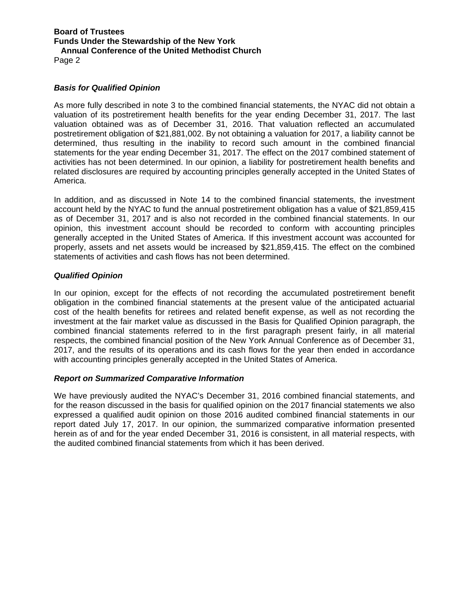Page 2

#### *Basis for Qualified Opinion*

As more fully described in note 3 to the combined financial statements, the NYAC did not obtain a valuation of its postretirement health benefits for the year ending December 31, 2017. The last valuation obtained was as of December 31, 2016. That valuation reflected an accumulated postretirement obligation of \$21,881,002. By not obtaining a valuation for 2017, a liability cannot be determined, thus resulting in the inability to record such amount in the combined financial statements for the year ending December 31, 2017. The effect on the 2017 combined statement of activities has not been determined. In our opinion, a liability for postretirement health benefits and related disclosures are required by accounting principles generally accepted in the United States of America.

In addition, and as discussed in Note 14 to the combined financial statements, the investment account held by the NYAC to fund the annual postretirement obligation has a value of \$21,859,415 as of December 31, 2017 and is also not recorded in the combined financial statements. In our opinion, this investment account should be recorded to conform with accounting principles generally accepted in the United States of America. If this investment account was accounted for properly, assets and net assets would be increased by \$21,859,415. The effect on the combined statements of activities and cash flows has not been determined.

#### *Qualified Opinion*

In our opinion, except for the effects of not recording the accumulated postretirement benefit obligation in the combined financial statements at the present value of the anticipated actuarial cost of the health benefits for retirees and related benefit expense, as well as not recording the investment at the fair market value as discussed in the Basis for Qualified Opinion paragraph, the combined financial statements referred to in the first paragraph present fairly, in all material respects, the combined financial position of the New York Annual Conference as of December 31, 2017, and the results of its operations and its cash flows for the year then ended in accordance with accounting principles generally accepted in the United States of America.

#### *Report on Summarized Comparative Information*

We have previously audited the NYAC's December 31, 2016 combined financial statements, and for the reason discussed in the basis for qualified opinion on the 2017 financial statements we also expressed a qualified audit opinion on those 2016 audited combined financial statements in our report dated July 17, 2017. In our opinion, the summarized comparative information presented herein as of and for the year ended December 31, 2016 is consistent, in all material respects, with the audited combined financial statements from which it has been derived.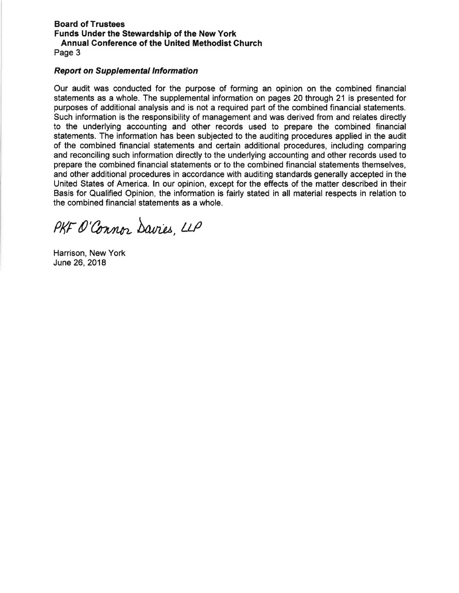#### **Board of Trustees Funds Under the Stewardship of the New York Annual Conference of the United Methodist Church**  Page 3

#### **Report on Supplemental Information**

Our audit was conducted for the purpose of forming an opinion on the combined financial statements as a whole. The supplemental information on pages 20 through 21 is presented for purposes of additional analysis and is not a required part of the combined financial statements. Such information is the responsibility of management and was derived from and relates directly to the underlying accounting and other records used to prepare the combined financial statements. The information has been subjected to the auditing procedures applied in the audit of the combined financial statements and certain additional procedures, including comparing and reconciling such information directly to the underlying accounting and other records used to prepare the combined financial statements or to the combined financial statements themselves, and other additional procedures in accordance with auditing standards generally accepted in the United States of America. In our opinion, except for the effects of the matter described in their Basis for Qualified Opinion, the information is fairly stated in all material respects in relation to the combined financial statements as a whole.

PKF O'Connor Davies, LLP

Harrison, New York June 26, 2018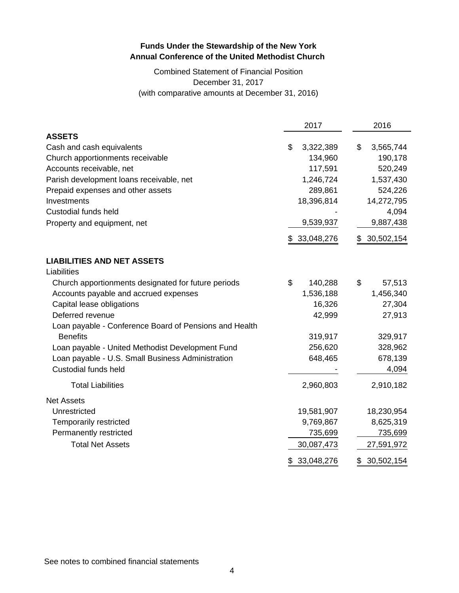# Combined Statement of Financial Position December 31, 2017 (with comparative amounts at December 31, 2016)

|                                                        | 2017             | 2016             |
|--------------------------------------------------------|------------------|------------------|
| <b>ASSETS</b>                                          |                  |                  |
| Cash and cash equivalents                              | \$<br>3,322,389  | 3,565,744<br>\$  |
| Church apportionments receivable                       | 134,960          | 190,178          |
| Accounts receivable, net                               | 117,591          | 520,249          |
| Parish development loans receivable, net               | 1,246,724        | 1,537,430        |
| Prepaid expenses and other assets                      | 289,861          | 524,226          |
| Investments                                            | 18,396,814       | 14,272,795       |
| <b>Custodial funds held</b>                            |                  | 4,094            |
| Property and equipment, net                            | 9,539,937        | 9,887,438        |
|                                                        | 33,048,276<br>\$ | 30,502,154<br>\$ |
| <b>LIABILITIES AND NET ASSETS</b>                      |                  |                  |
| Liabilities                                            |                  |                  |
| Church apportionments designated for future periods    | \$<br>140,288    | \$<br>57,513     |
| Accounts payable and accrued expenses                  | 1,536,188        | 1,456,340        |
| Capital lease obligations                              | 16,326           | 27,304           |
| Deferred revenue                                       | 42,999           | 27,913           |
| Loan payable - Conference Board of Pensions and Health |                  |                  |
| <b>Benefits</b>                                        | 319,917          | 329,917          |
| Loan payable - United Methodist Development Fund       | 256,620          | 328,962          |
| Loan payable - U.S. Small Business Administration      | 648,465          | 678,139          |
| Custodial funds held                                   |                  | 4,094            |
| <b>Total Liabilities</b>                               | 2,960,803        | 2,910,182        |
| <b>Net Assets</b>                                      |                  |                  |
| Unrestricted                                           | 19,581,907       | 18,230,954       |
| Temporarily restricted                                 | 9,769,867        | 8,625,319        |
| Permanently restricted                                 | 735,699          | 735,699          |
| <b>Total Net Assets</b>                                | 30,087,473       | 27,591,972       |
|                                                        | \$<br>33,048,276 | \$<br>30,502,154 |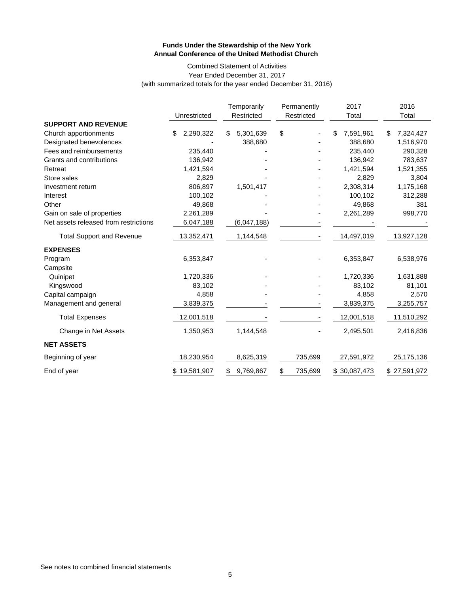#### Combined Statement of Activities Year Ended December 31, 2017 (with summarized totals for the year ended December 31, 2016)

|                                       |                  | Temporarily     | Permanently   | 2017            | 2016            |
|---------------------------------------|------------------|-----------------|---------------|-----------------|-----------------|
|                                       | Unrestricted     | Restricted      | Restricted    | Total           | Total           |
| <b>SUPPORT AND REVENUE</b>            |                  |                 |               |                 |                 |
| Church apportionments                 | \$<br>2,290,322  | 5,301,639<br>\$ | \$            | 7,591,961<br>\$ | 7,324,427<br>\$ |
| Designated benevolences               |                  | 388,680         |               | 388,680         | 1,516,970       |
| Fees and reimbursements               | 235,440          |                 |               | 235,440         | 290,328         |
| Grants and contributions              | 136,942          |                 |               | 136,942         | 783,637         |
| Retreat                               | 1,421,594        |                 |               | 1,421,594       | 1,521,355       |
| Store sales                           | 2,829            |                 |               | 2,829           | 3,804           |
| Investment return                     | 806,897          | 1,501,417       |               | 2,308,314       | 1,175,168       |
| Interest                              | 100,102          |                 |               | 100,102         | 312,288         |
| Other                                 | 49,868           |                 |               | 49,868          | 381             |
| Gain on sale of properties            | 2,261,289        |                 |               | 2,261,289       | 998,770         |
| Net assets released from restrictions | 6,047,188        | (6,047,188)     |               |                 |                 |
| <b>Total Support and Revenue</b>      | 13,352,471       | 1,144,548       |               | 14,497,019      | 13,927,128      |
| <b>EXPENSES</b>                       |                  |                 |               |                 |                 |
| Program                               | 6,353,847        |                 |               | 6,353,847       | 6,538,976       |
| Campsite                              |                  |                 |               |                 |                 |
| Quinipet                              | 1,720,336        |                 |               | 1,720,336       | 1,631,888       |
| Kingswood                             | 83,102           |                 |               | 83,102          | 81,101          |
| Capital campaign                      | 4,858            |                 |               | 4,858           | 2,570           |
| Management and general                | 3,839,375        |                 |               | 3,839,375       | 3,255,757       |
| <b>Total Expenses</b>                 | 12,001,518       |                 |               | 12,001,518      | 11,510,292      |
| Change in Net Assets                  | 1,350,953        | 1,144,548       |               | 2,495,501       | 2,416,836       |
| <b>NET ASSETS</b>                     |                  |                 |               |                 |                 |
| Beginning of year                     | 18,230,954       | 8,625,319       | 735,699       | 27,591,972      | 25,175,136      |
| End of year                           | 19,581,907<br>\$ | 9,769,867<br>\$ | 735,699<br>\$ | \$30,087,473    | \$27,591,972    |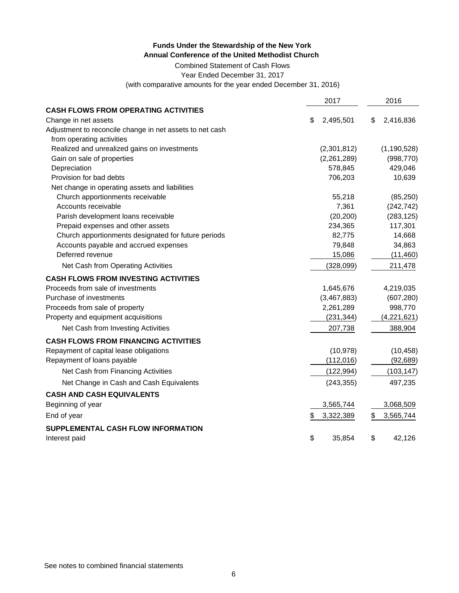Combined Statement of Cash Flows

Year Ended December 31, 2017

(with comparative amounts for the year ended December 31, 2016)

|                                                          | 2017            | 2016            |
|----------------------------------------------------------|-----------------|-----------------|
| <b>CASH FLOWS FROM OPERATING ACTIVITIES</b>              |                 |                 |
| Change in net assets                                     | 2,495,501<br>\$ | 2,416,836<br>S  |
| Adjustment to reconcile change in net assets to net cash |                 |                 |
| from operating activities                                |                 |                 |
| Realized and unrealized gains on investments             | (2,301,812)     | (1, 190, 528)   |
| Gain on sale of properties                               | (2,261,289)     | (998, 770)      |
| Depreciation                                             | 578,845         | 429,046         |
| Provision for bad debts                                  | 706,203         | 10,639          |
| Net change in operating assets and liabilities           |                 |                 |
| Church apportionments receivable                         | 55,218          | (85, 250)       |
| Accounts receivable                                      | 7,361           | (242, 742)      |
| Parish development loans receivable                      | (20, 200)       | (283, 125)      |
| Prepaid expenses and other assets                        | 234,365         | 117,301         |
| Church apportionments designated for future periods      | 82,775          | 14,668          |
| Accounts payable and accrued expenses                    | 79,848          | 34,863          |
| Deferred revenue                                         | 15,086          | (11, 460)       |
| Net Cash from Operating Activities                       | (328,099)       | 211,478         |
| <b>CASH FLOWS FROM INVESTING ACTIVITIES</b>              |                 |                 |
| Proceeds from sale of investments                        | 1,645,676       | 4,219,035       |
| Purchase of investments                                  | (3,467,883)     | (607, 280)      |
| Proceeds from sale of property                           | 2,261,289       | 998,770         |
| Property and equipment acquisitions                      | (231, 344)      | (4,221,621)     |
| Net Cash from Investing Activities                       | 207,738         | 388,904         |
| <b>CASH FLOWS FROM FINANCING ACTIVITIES</b>              |                 |                 |
| Repayment of capital lease obligations                   | (10, 978)       | (10, 458)       |
| Repayment of loans payable                               | (112, 016)      | (92, 689)       |
| Net Cash from Financing Activities                       | (122, 994)      | (103, 147)      |
| Net Change in Cash and Cash Equivalents                  | (243, 355)      | 497,235         |
| <b>CASH AND CASH EQUIVALENTS</b>                         |                 |                 |
| Beginning of year                                        | 3,565,744       | 3,068,509       |
| End of year                                              | 3,322,389<br>\$ | 3,565,744<br>\$ |
| SUPPLEMENTAL CASH FLOW INFORMATION                       |                 |                 |
| Interest paid                                            | \$<br>35,854    | \$<br>42.126    |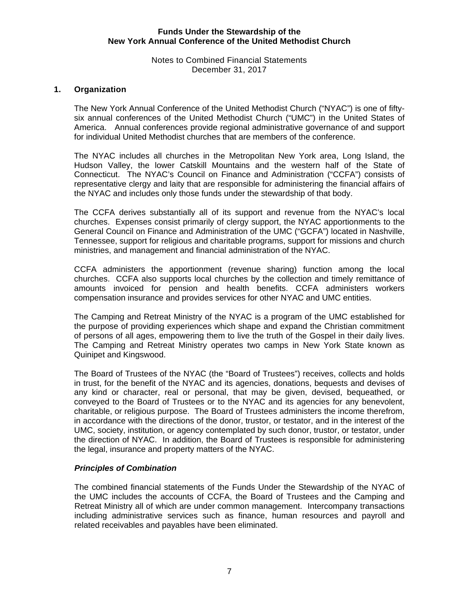#### Notes to Combined Financial Statements December 31, 2017

# **1. Organization**

The New York Annual Conference of the United Methodist Church ("NYAC") is one of fiftysix annual conferences of the United Methodist Church ("UMC") in the United States of America. Annual conferences provide regional administrative governance of and support for individual United Methodist churches that are members of the conference.

The NYAC includes all churches in the Metropolitan New York area, Long Island, the Hudson Valley, the lower Catskill Mountains and the western half of the State of Connecticut. The NYAC's Council on Finance and Administration ("CCFA") consists of representative clergy and laity that are responsible for administering the financial affairs of the NYAC and includes only those funds under the stewardship of that body.

The CCFA derives substantially all of its support and revenue from the NYAC's local churches. Expenses consist primarily of clergy support, the NYAC apportionments to the General Council on Finance and Administration of the UMC ("GCFA") located in Nashville, Tennessee, support for religious and charitable programs, support for missions and church ministries, and management and financial administration of the NYAC.

CCFA administers the apportionment (revenue sharing) function among the local churches. CCFA also supports local churches by the collection and timely remittance of amounts invoiced for pension and health benefits. CCFA administers workers compensation insurance and provides services for other NYAC and UMC entities.

The Camping and Retreat Ministry of the NYAC is a program of the UMC established for the purpose of providing experiences which shape and expand the Christian commitment of persons of all ages, empowering them to live the truth of the Gospel in their daily lives. The Camping and Retreat Ministry operates two camps in New York State known as Quinipet and Kingswood.

The Board of Trustees of the NYAC (the "Board of Trustees") receives, collects and holds in trust, for the benefit of the NYAC and its agencies, donations, bequests and devises of any kind or character, real or personal, that may be given, devised, bequeathed, or conveyed to the Board of Trustees or to the NYAC and its agencies for any benevolent, charitable, or religious purpose. The Board of Trustees administers the income therefrom, in accordance with the directions of the donor, trustor, or testator, and in the interest of the UMC, society, institution, or agency contemplated by such donor, trustor, or testator, under the direction of NYAC. In addition, the Board of Trustees is responsible for administering the legal, insurance and property matters of the NYAC.

# *Principles of Combination*

The combined financial statements of the Funds Under the Stewardship of the NYAC of the UMC includes the accounts of CCFA, the Board of Trustees and the Camping and Retreat Ministry all of which are under common management. Intercompany transactions including administrative services such as finance, human resources and payroll and related receivables and payables have been eliminated.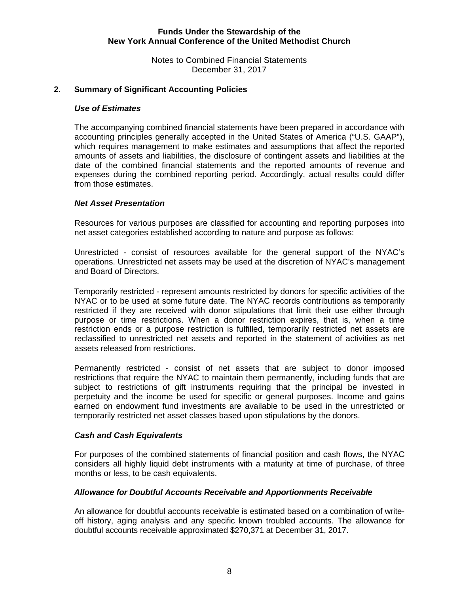Notes to Combined Financial Statements December 31, 2017

### **2. Summary of Significant Accounting Policies**

#### *Use of Estimates*

The accompanying combined financial statements have been prepared in accordance with accounting principles generally accepted in the United States of America ("U.S. GAAP"), which requires management to make estimates and assumptions that affect the reported amounts of assets and liabilities, the disclosure of contingent assets and liabilities at the date of the combined financial statements and the reported amounts of revenue and expenses during the combined reporting period. Accordingly, actual results could differ from those estimates.

#### *Net Asset Presentation*

Resources for various purposes are classified for accounting and reporting purposes into net asset categories established according to nature and purpose as follows:

Unrestricted - consist of resources available for the general support of the NYAC's operations. Unrestricted net assets may be used at the discretion of NYAC's management and Board of Directors.

Temporarily restricted - represent amounts restricted by donors for specific activities of the NYAC or to be used at some future date. The NYAC records contributions as temporarily restricted if they are received with donor stipulations that limit their use either through purpose or time restrictions. When a donor restriction expires, that is, when a time restriction ends or a purpose restriction is fulfilled, temporarily restricted net assets are reclassified to unrestricted net assets and reported in the statement of activities as net assets released from restrictions.

Permanently restricted - consist of net assets that are subject to donor imposed restrictions that require the NYAC to maintain them permanently, including funds that are subject to restrictions of gift instruments requiring that the principal be invested in perpetuity and the income be used for specific or general purposes. Income and gains earned on endowment fund investments are available to be used in the unrestricted or temporarily restricted net asset classes based upon stipulations by the donors.

#### *Cash and Cash Equivalents*

For purposes of the combined statements of financial position and cash flows, the NYAC considers all highly liquid debt instruments with a maturity at time of purchase, of three months or less, to be cash equivalents.

#### *Allowance for Doubtful Accounts Receivable and Apportionments Receivable*

An allowance for doubtful accounts receivable is estimated based on a combination of writeoff history, aging analysis and any specific known troubled accounts. The allowance for doubtful accounts receivable approximated \$270,371 at December 31, 2017.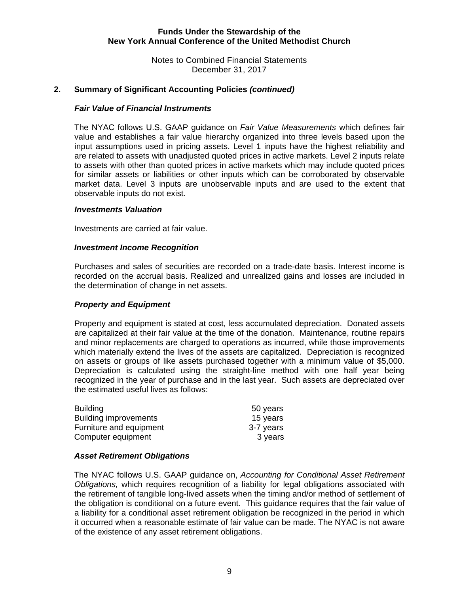Notes to Combined Financial Statements December 31, 2017

# **2. Summary of Significant Accounting Policies** *(continued)*

#### *Fair Value of Financial Instruments*

 The NYAC follows U.S. GAAP guidance on *Fair Value Measurements* which defines fair value and establishes a fair value hierarchy organized into three levels based upon the input assumptions used in pricing assets. Level 1 inputs have the highest reliability and are related to assets with unadjusted quoted prices in active markets. Level 2 inputs relate to assets with other than quoted prices in active markets which may include quoted prices for similar assets or liabilities or other inputs which can be corroborated by observable market data. Level 3 inputs are unobservable inputs and are used to the extent that observable inputs do not exist.

#### *Investments Valuation*

Investments are carried at fair value.

#### *Investment Income Recognition*

Purchases and sales of securities are recorded on a trade-date basis. Interest income is recorded on the accrual basis. Realized and unrealized gains and losses are included in the determination of change in net assets.

#### *Property and Equipment*

Property and equipment is stated at cost, less accumulated depreciation. Donated assets are capitalized at their fair value at the time of the donation. Maintenance, routine repairs and minor replacements are charged to operations as incurred, while those improvements which materially extend the lives of the assets are capitalized. Depreciation is recognized on assets or groups of like assets purchased together with a minimum value of \$5,000. Depreciation is calculated using the straight-line method with one half year being recognized in the year of purchase and in the last year. Such assets are depreciated over the estimated useful lives as follows:

| <b>Building</b>         | 50 years  |
|-------------------------|-----------|
| Building improvements   | 15 years  |
| Furniture and equipment | 3-7 years |
| Computer equipment      | 3 years   |

#### *Asset Retirement Obligations*

 The NYAC follows U.S. GAAP guidance on, *Accounting for Conditional Asset Retirement Obligations,* which requires recognition of a liability for legal obligations associated with the retirement of tangible long-lived assets when the timing and/or method of settlement of the obligation is conditional on a future event. This guidance requires that the fair value of a liability for a conditional asset retirement obligation be recognized in the period in which it occurred when a reasonable estimate of fair value can be made. The NYAC is not aware of the existence of any asset retirement obligations.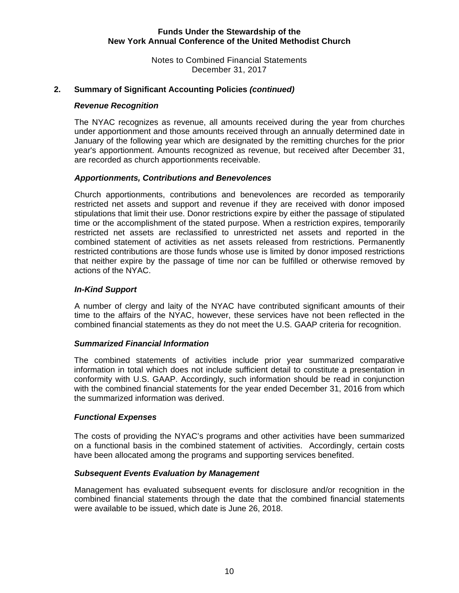Notes to Combined Financial Statements December 31, 2017

# **2. Summary of Significant Accounting Policies** *(continued)*

#### *Revenue Recognition*

The NYAC recognizes as revenue, all amounts received during the year from churches under apportionment and those amounts received through an annually determined date in January of the following year which are designated by the remitting churches for the prior year's apportionment. Amounts recognized as revenue, but received after December 31, are recorded as church apportionments receivable.

#### *Apportionments, Contributions and Benevolences*

Church apportionments, contributions and benevolences are recorded as temporarily restricted net assets and support and revenue if they are received with donor imposed stipulations that limit their use. Donor restrictions expire by either the passage of stipulated time or the accomplishment of the stated purpose. When a restriction expires, temporarily restricted net assets are reclassified to unrestricted net assets and reported in the combined statement of activities as net assets released from restrictions. Permanently restricted contributions are those funds whose use is limited by donor imposed restrictions that neither expire by the passage of time nor can be fulfilled or otherwise removed by actions of the NYAC.

#### *In-Kind Support*

A number of clergy and laity of the NYAC have contributed significant amounts of their time to the affairs of the NYAC, however, these services have not been reflected in the combined financial statements as they do not meet the U.S. GAAP criteria for recognition.

#### *Summarized Financial Information*

The combined statements of activities include prior year summarized comparative information in total which does not include sufficient detail to constitute a presentation in conformity with U.S. GAAP. Accordingly, such information should be read in conjunction with the combined financial statements for the year ended December 31, 2016 from which the summarized information was derived.

#### *Functional Expenses*

The costs of providing the NYAC's programs and other activities have been summarized on a functional basis in the combined statement of activities. Accordingly, certain costs have been allocated among the programs and supporting services benefited.

#### *Subsequent Events Evaluation by Management*

Management has evaluated subsequent events for disclosure and/or recognition in the combined financial statements through the date that the combined financial statements were available to be issued, which date is June 26, 2018.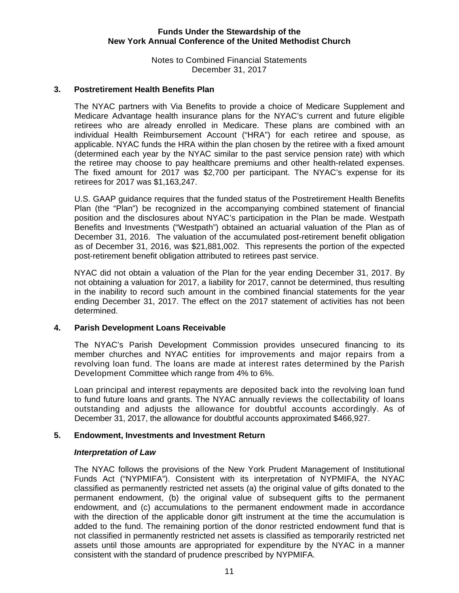Notes to Combined Financial Statements December 31, 2017

#### **3. Postretirement Health Benefits Plan**

The NYAC partners with Via Benefits to provide a choice of Medicare Supplement and Medicare Advantage health insurance plans for the NYAC's current and future eligible retirees who are already enrolled in Medicare. These plans are combined with an individual Health Reimbursement Account ("HRA") for each retiree and spouse, as applicable. NYAC funds the HRA within the plan chosen by the retiree with a fixed amount (determined each year by the NYAC similar to the past service pension rate) with which the retiree may choose to pay healthcare premiums and other health-related expenses. The fixed amount for 2017 was \$2,700 per participant. The NYAC's expense for its retirees for 2017 was \$1,163,247.

U.S. GAAP guidance requires that the funded status of the Postretirement Health Benefits Plan (the "Plan") be recognized in the accompanying combined statement of financial position and the disclosures about NYAC's participation in the Plan be made. Westpath Benefits and Investments ("Westpath") obtained an actuarial valuation of the Plan as of December 31, 2016. The valuation of the accumulated post-retirement benefit obligation as of December 31, 2016, was \$21,881,002. This represents the portion of the expected post-retirement benefit obligation attributed to retirees past service.

NYAC did not obtain a valuation of the Plan for the year ending December 31, 2017. By not obtaining a valuation for 2017, a liability for 2017, cannot be determined, thus resulting in the inability to record such amount in the combined financial statements for the year ending December 31, 2017. The effect on the 2017 statement of activities has not been determined.

#### **4. Parish Development Loans Receivable**

The NYAC's Parish Development Commission provides unsecured financing to its member churches and NYAC entities for improvements and major repairs from a revolving loan fund. The loans are made at interest rates determined by the Parish Development Committee which range from 4% to 6%.

Loan principal and interest repayments are deposited back into the revolving loan fund to fund future loans and grants. The NYAC annually reviews the collectability of loans outstanding and adjusts the allowance for doubtful accounts accordingly. As of December 31, 2017, the allowance for doubtful accounts approximated \$466,927.

#### **5. Endowment, Investments and Investment Return**

#### *Interpretation of Law*

 The NYAC follows the provisions of the New York Prudent Management of Institutional Funds Act ("NYPMIFA"). Consistent with its interpretation of NYPMIFA, the NYAC classified as permanently restricted net assets (a) the original value of gifts donated to the permanent endowment, (b) the original value of subsequent gifts to the permanent endowment, and (c) accumulations to the permanent endowment made in accordance with the direction of the applicable donor gift instrument at the time the accumulation is added to the fund. The remaining portion of the donor restricted endowment fund that is not classified in permanently restricted net assets is classified as temporarily restricted net assets until those amounts are appropriated for expenditure by the NYAC in a manner consistent with the standard of prudence prescribed by NYPMIFA.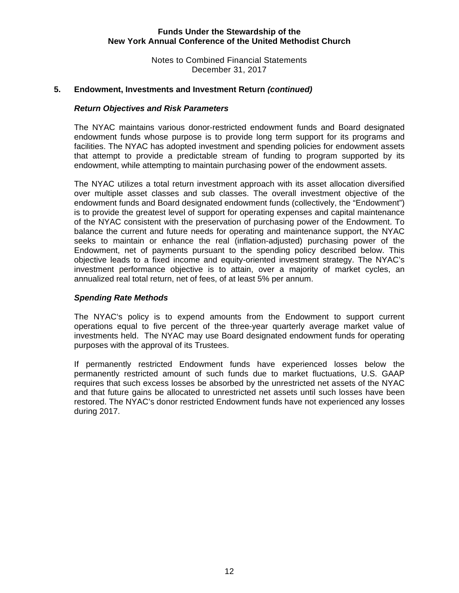Notes to Combined Financial Statements December 31, 2017

#### **5. Endowment, Investments and Investment Return** *(continued)*

#### *Return Objectives and Risk Parameters*

The NYAC maintains various donor-restricted endowment funds and Board designated endowment funds whose purpose is to provide long term support for its programs and facilities. The NYAC has adopted investment and spending policies for endowment assets that attempt to provide a predictable stream of funding to program supported by its endowment, while attempting to maintain purchasing power of the endowment assets.

The NYAC utilizes a total return investment approach with its asset allocation diversified over multiple asset classes and sub classes. The overall investment objective of the endowment funds and Board designated endowment funds (collectively, the "Endowment") is to provide the greatest level of support for operating expenses and capital maintenance of the NYAC consistent with the preservation of purchasing power of the Endowment. To balance the current and future needs for operating and maintenance support, the NYAC seeks to maintain or enhance the real (inflation-adjusted) purchasing power of the Endowment, net of payments pursuant to the spending policy described below. This objective leads to a fixed income and equity-oriented investment strategy. The NYAC's investment performance objective is to attain, over a majority of market cycles, an annualized real total return, net of fees, of at least 5% per annum.

#### *Spending Rate Methods*

The NYAC's policy is to expend amounts from the Endowment to support current operations equal to five percent of the three-year quarterly average market value of investments held. The NYAC may use Board designated endowment funds for operating purposes with the approval of its Trustees.

If permanently restricted Endowment funds have experienced losses below the permanently restricted amount of such funds due to market fluctuations, U.S. GAAP requires that such excess losses be absorbed by the unrestricted net assets of the NYAC and that future gains be allocated to unrestricted net assets until such losses have been restored. The NYAC's donor restricted Endowment funds have not experienced any losses during 2017.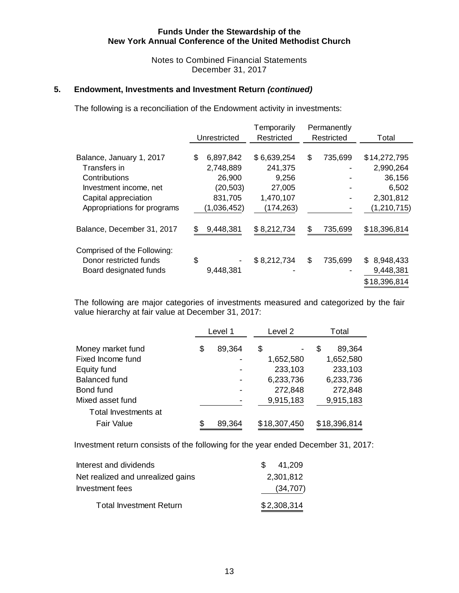Notes to Combined Financial Statements December 31, 2017

#### **5. Endowment, Investments and Investment Return** *(continued)*

The following is a reconciliation of the Endowment activity in investments:

|                             |    |              | Temporarily | Permanently   |                  |
|-----------------------------|----|--------------|-------------|---------------|------------------|
|                             |    | Unrestricted | Restricted  | Restricted    | Total            |
|                             |    |              |             |               |                  |
| Balance, January 1, 2017    | \$ | 6,897,842    | \$6,639,254 | \$<br>735,699 | \$14,272,795     |
| Transfers in                |    | 2,748,889    | 241,375     |               | 2,990,264        |
| Contributions               |    | 26,900       | 9,256       |               | 36,156           |
| Investment income, net      |    | (20, 503)    | 27,005      |               | 6,502            |
| Capital appreciation        |    | 831,705      | 1,470,107   |               | 2,301,812        |
| Appropriations for programs |    | (1,036,452)  | (174,263)   |               | (1, 210, 715)    |
| Balance, December 31, 2017  | S  | 9,448,381    | \$8,212,734 | \$<br>735,699 | \$18,396,814     |
| Comprised of the Following: |    |              |             |               |                  |
| Donor restricted funds      | \$ |              | \$8,212,734 | \$<br>735,699 | 8,948,433<br>\$. |
| Board designated funds      |    | 9,448,381    |             |               | 9,448,381        |
|                             |    |              |             |               | \$18,396,814     |

The following are major categories of investments measured and categorized by the fair value hierarchy at fair value at December 31, 2017:

|                      | Level 1      | Level 2      | Total        |        |
|----------------------|--------------|--------------|--------------|--------|
| Money market fund    | \$<br>89,364 | \$           | S            | 89,364 |
| Fixed Income fund    |              | 1,652,580    | 1,652,580    |        |
| Equity fund          |              | 233,103      | 233,103      |        |
| <b>Balanced fund</b> |              | 6,233,736    | 6,233,736    |        |
| Bond fund            |              | 272,848      | 272,848      |        |
| Mixed asset fund     |              | 9,915,183    | 9,915,183    |        |
| Total Investments at |              |              |              |        |
| <b>Fair Value</b>    | 89,364       | \$18,307,450 | \$18,396,814 |        |

Investment return consists of the following for the year ended December 31, 2017:

| Interest and dividends            | 41.209<br>$\mathcal{S}$ |
|-----------------------------------|-------------------------|
| Net realized and unrealized gains | 2,301,812               |
| Investment fees                   | (34, 707)               |
| <b>Total Investment Return</b>    | \$2,308,314             |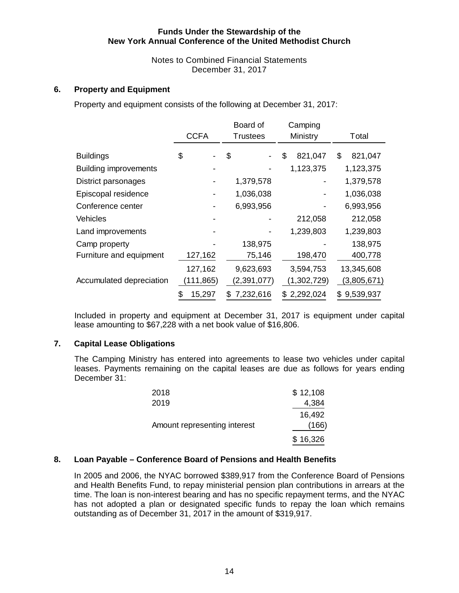Notes to Combined Financial Statements December 31, 2017

# **6. Property and Equipment**

Property and equipment consists of the following at December 31, 2017:

|                              |             | Board of        | Camping       |                |
|------------------------------|-------------|-----------------|---------------|----------------|
|                              | <b>CCFA</b> | <b>Trustees</b> | Ministry      | Total          |
| <b>Buildings</b>             | \$          | \$              | \$<br>821,047 | 821,047<br>S   |
| <b>Building improvements</b> |             |                 | 1,123,375     | 1,123,375      |
| District parsonages          |             | 1,379,578       |               | 1,379,578      |
| Episcopal residence          |             | 1,036,038       |               | 1,036,038      |
| Conference center            |             | 6,993,956       |               | 6,993,956      |
| <b>Vehicles</b>              |             |                 | 212,058       | 212,058        |
| Land improvements            |             |                 | 1,239,803     | 1,239,803      |
| Camp property                |             | 138,975         |               | 138,975        |
| Furniture and equipment      | 127,162     | 75,146          | 198,470       | 400,778        |
|                              | 127,162     | 9,623,693       | 3,594,753     | 13,345,608     |
| Accumulated depreciation     | (111, 865)  | (2, 391, 077)   | (1,302,729)   | (3,805,671)    |
|                              | 15,297<br>3 | 7,232,616<br>S  | \$2,292,024   | 9,539,937<br>S |

Included in property and equipment at December 31, 2017 is equipment under capital lease amounting to \$67,228 with a net book value of \$16,806.

# **7. Capital Lease Obligations**

The Camping Ministry has entered into agreements to lease two vehicles under capital leases. Payments remaining on the capital leases are due as follows for years ending December 31:

| 2018                         | \$12,108 |
|------------------------------|----------|
| 2019                         | 4,384    |
|                              | 16,492   |
| Amount representing interest | (166)    |
|                              | \$16,326 |

# **8. Loan Payable – Conference Board of Pensions and Health Benefits**

In 2005 and 2006, the NYAC borrowed \$389,917 from the Conference Board of Pensions and Health Benefits Fund, to repay ministerial pension plan contributions in arrears at the time. The loan is non-interest bearing and has no specific repayment terms, and the NYAC has not adopted a plan or designated specific funds to repay the loan which remains outstanding as of December 31, 2017 in the amount of \$319,917.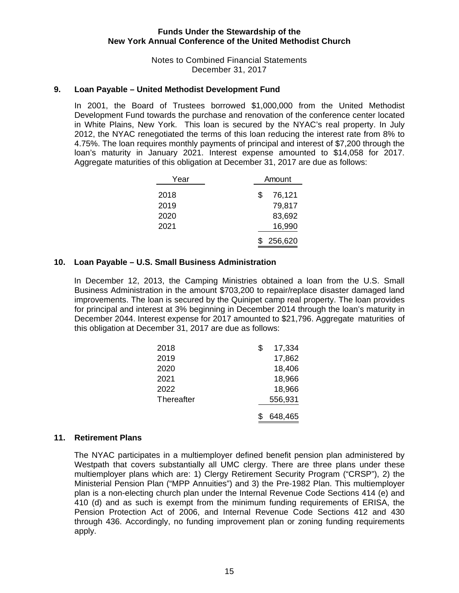#### Notes to Combined Financial Statements December 31, 2017

#### **9. Loan Payable – United Methodist Development Fund**

In 2001, the Board of Trustees borrowed \$1,000,000 from the United Methodist Development Fund towards the purchase and renovation of the conference center located in White Plains, New York. This loan is secured by the NYAC's real property. In July 2012, the NYAC renegotiated the terms of this loan reducing the interest rate from 8% to 4.75%. The loan requires monthly payments of principal and interest of \$7,200 through the loan's maturity in January 2021. Interest expense amounted to \$14,058 for 2017. Aggregate maturities of this obligation at December 31, 2017 are due as follows:

| Year | Amount       |
|------|--------------|
| 2018 | \$<br>76,121 |
| 2019 | 79,817       |
| 2020 | 83,692       |
| 2021 | 16,990       |
|      | 256,620      |

#### **10. Loan Payable – U.S. Small Business Administration**

 In December 12, 2013, the Camping Ministries obtained a loan from the U.S. Small Business Administration in the amount \$703,200 to repair/replace disaster damaged land improvements. The loan is secured by the Quinipet camp real property. The loan provides for principal and interest at 3% beginning in December 2014 through the loan's maturity in December 2044. Interest expense for 2017 amounted to \$21,796. Aggregate maturities of this obligation at December 31, 2017 are due as follows:

| 2018       | S | 17,334  |
|------------|---|---------|
| 2019       |   | 17,862  |
| 2020       |   | 18,406  |
| 2021       |   | 18,966  |
| 2022       |   | 18,966  |
| Thereafter |   | 556,931 |
|            |   | 648,465 |

#### **11. Retirement Plans**

The NYAC participates in a multiemployer defined benefit pension plan administered by Westpath that covers substantially all UMC clergy. There are three plans under these multiemployer plans which are: 1) Clergy Retirement Security Program ("CRSP"), 2) the Ministerial Pension Plan ("MPP Annuities") and 3) the Pre-1982 Plan. This multiemployer plan is a non-electing church plan under the Internal Revenue Code Sections 414 (e) and 410 (d) and as such is exempt from the minimum funding requirements of ERISA, the Pension Protection Act of 2006, and Internal Revenue Code Sections 412 and 430 through 436. Accordingly, no funding improvement plan or zoning funding requirements apply.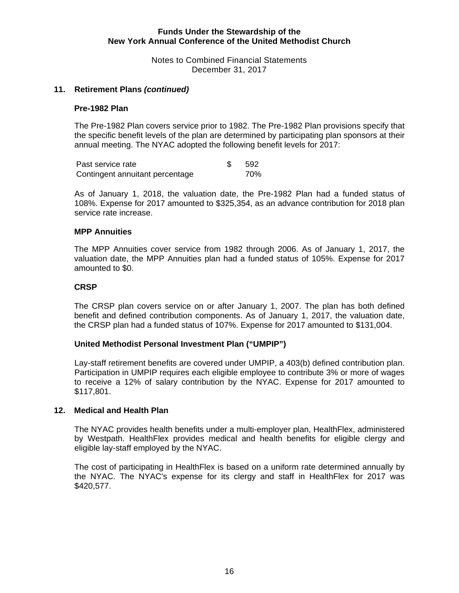Notes to Combined Financial Statements December 31, 2017

#### **11. Retirement Plans** *(continued)*

#### **Pre-1982 Plan**

The Pre-1982 Plan covers service prior to 1982. The Pre-1982 Plan provisions specify that the specific benefit levels of the plan are determined by participating plan sponsors at their annual meeting. The NYAC adopted the following benefit levels for 2017:

| Past service rate               | -592 |
|---------------------------------|------|
| Contingent annuitant percentage | 70%  |

As of January 1, 2018, the valuation date, the Pre-1982 Plan had a funded status of 108%. Expense for 2017 amounted to \$325,354, as an advance contribution for 2018 plan service rate increase.

#### **MPP Annuities**

The MPP Annuities cover service from 1982 through 2006. As of January 1, 2017, the valuation date, the MPP Annuities plan had a funded status of 105%. Expense for 2017 amounted to \$0.

#### **CRSP**

The CRSP plan covers service on or after January 1, 2007. The plan has both defined benefit and defined contribution components. As of January 1, 2017, the valuation date, the CRSP plan had a funded status of 107%. Expense for 2017 amounted to \$131,004.

#### **United Methodist Personal Investment Plan ("UMPIP")**

Lay-staff retirement benefits are covered under UMPIP, a 403(b) defined contribution plan. Participation in UMPIP requires each eligible employee to contribute 3% or more of wages to receive a 12% of salary contribution by the NYAC. Expense for 2017 amounted to \$117,801.

#### **12. Medical and Health Plan**

The NYAC provides health benefits under a multi-employer plan, HealthFlex, administered by Westpath. HealthFlex provides medical and health benefits for eligible clergy and eligible lay-staff employed by the NYAC.

The cost of participating in HealthFlex is based on a uniform rate determined annually by the NYAC. The NYAC's expense for its clergy and staff in HealthFlex for 2017 was \$420,577.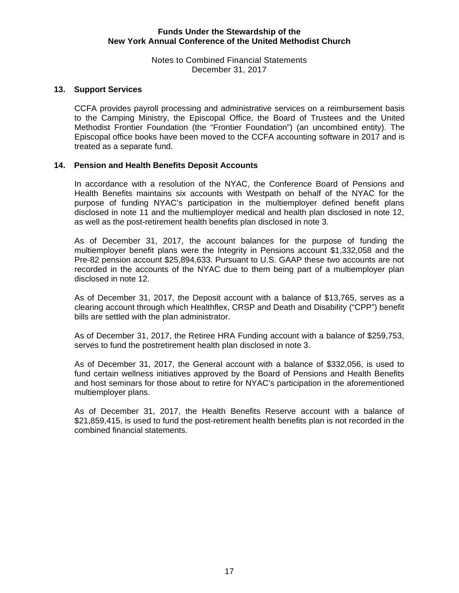Notes to Combined Financial Statements December 31, 2017

#### **13. Support Services**

CCFA provides payroll processing and administrative services on a reimbursement basis to the Camping Ministry, the Episcopal Office, the Board of Trustees and the United Methodist Frontier Foundation (the "Frontier Foundation") (an uncombined entity). The Episcopal office books have been moved to the CCFA accounting software in 2017 and is treated as a separate fund.

### **14. Pension and Health Benefits Deposit Accounts**

In accordance with a resolution of the NYAC, the Conference Board of Pensions and Health Benefits maintains six accounts with Westpath on behalf of the NYAC for the purpose of funding NYAC's participation in the multiemployer defined benefit plans disclosed in note 11 and the multiemployer medical and health plan disclosed in note 12, as well as the post-retirement health benefits plan disclosed in note 3.

As of December 31, 2017, the account balances for the purpose of funding the multiemployer benefit plans were the Integrity in Pensions account \$1,332,058 and the Pre-82 pension account \$25,894,633. Pursuant to U.S. GAAP these two accounts are not recorded in the accounts of the NYAC due to them being part of a multiemployer plan disclosed in note 12.

As of December 31, 2017, the Deposit account with a balance of \$13,765, serves as a clearing account through which Healthflex, CRSP and Death and Disability ("CPP") benefit bills are settled with the plan administrator.

As of December 31, 2017, the Retiree HRA Funding account with a balance of \$259,753, serves to fund the postretirement health plan disclosed in note 3.

As of December 31, 2017, the General account with a balance of \$332,056, is used to fund certain wellness initiatives approved by the Board of Pensions and Health Benefits and host seminars for those about to retire for NYAC's participation in the aforementioned multiemployer plans.

As of December 31, 2017, the Health Benefits Reserve account with a balance of \$21,859,415, is used to fund the post-retirement health benefits plan is not recorded in the combined financial statements.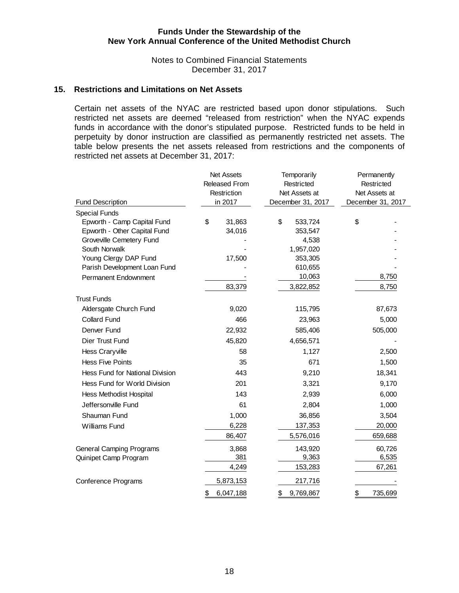Notes to Combined Financial Statements December 31, 2017

#### **15. Restrictions and Limitations on Net Assets**

Certain net assets of the NYAC are restricted based upon donor stipulations. Such restricted net assets are deemed "released from restriction" when the NYAC expends funds in accordance with the donor's stipulated purpose. Restricted funds to be held in perpetuity by donor instruction are classified as permanently restricted net assets. The table below presents the net assets released from restrictions and the components of restricted net assets at December 31, 2017:

|                                        | <b>Net Assets</b><br><b>Released From</b><br>Restriction | Temporarily<br>Restricted<br>Net Assets at | Permanently<br>Restricted<br>Net Assets at<br>December 31, 2017 |  |  |
|----------------------------------------|----------------------------------------------------------|--------------------------------------------|-----------------------------------------------------------------|--|--|
| <b>Fund Description</b>                | in 2017                                                  | December 31, 2017                          |                                                                 |  |  |
| <b>Special Funds</b>                   |                                                          |                                            |                                                                 |  |  |
| Epworth - Camp Capital Fund            | \$<br>31,863                                             | \$<br>533,724                              | \$                                                              |  |  |
| Epworth - Other Capital Fund           | 34,016                                                   | 353,547                                    |                                                                 |  |  |
| Groveville Cemetery Fund               |                                                          | 4,538                                      |                                                                 |  |  |
| South Norwalk<br>Young Clergy DAP Fund | 17,500                                                   | 1,957,020<br>353,305                       |                                                                 |  |  |
| Parish Development Loan Fund           |                                                          | 610,655                                    |                                                                 |  |  |
| Permanent Endownment                   |                                                          | 10,063                                     | 8,750                                                           |  |  |
|                                        | 83,379                                                   | 3,822,852                                  | 8,750                                                           |  |  |
| <b>Trust Funds</b>                     |                                                          |                                            |                                                                 |  |  |
| Aldersgate Church Fund                 | 9,020                                                    | 115,795                                    | 87,673                                                          |  |  |
| <b>Collard Fund</b>                    | 466                                                      | 23,963                                     | 5,000                                                           |  |  |
|                                        |                                                          |                                            |                                                                 |  |  |
| Denver Fund                            | 22,932                                                   | 585,406                                    | 505,000                                                         |  |  |
| Dier Trust Fund                        | 45,820                                                   | 4,656,571                                  |                                                                 |  |  |
| <b>Hess Craryville</b>                 | 58                                                       | 1,127                                      | 2,500                                                           |  |  |
| <b>Hess Five Points</b>                | 35                                                       | 671                                        | 1,500                                                           |  |  |
| Hess Fund for National Division        | 443                                                      | 9,210                                      | 18,341                                                          |  |  |
| Hess Fund for World Division           | 201                                                      | 3,321                                      | 9,170                                                           |  |  |
| <b>Hess Methodist Hospital</b>         | 143                                                      | 2,939                                      | 6,000                                                           |  |  |
| Jeffersonville Fund                    | 61                                                       | 2,804                                      | 1,000                                                           |  |  |
| Shauman Fund                           | 1,000                                                    | 36,856                                     | 3,504                                                           |  |  |
| Williams Fund                          | 6,228                                                    | 137,353                                    | 20,000                                                          |  |  |
|                                        | 86,407                                                   | 5,576,016                                  | 659,688                                                         |  |  |
| <b>General Camping Programs</b>        | 3,868                                                    | 143,920                                    | 60,726                                                          |  |  |
| Quinipet Camp Program                  | 381                                                      | 9,363                                      | 6,535                                                           |  |  |
|                                        | 4,249                                                    | 153,283                                    | 67,261                                                          |  |  |
| <b>Conference Programs</b>             | 5,873,153                                                | 217,716                                    |                                                                 |  |  |
|                                        | \$<br>6,047,188                                          | \$<br>9,769,867                            | \$<br>735,699                                                   |  |  |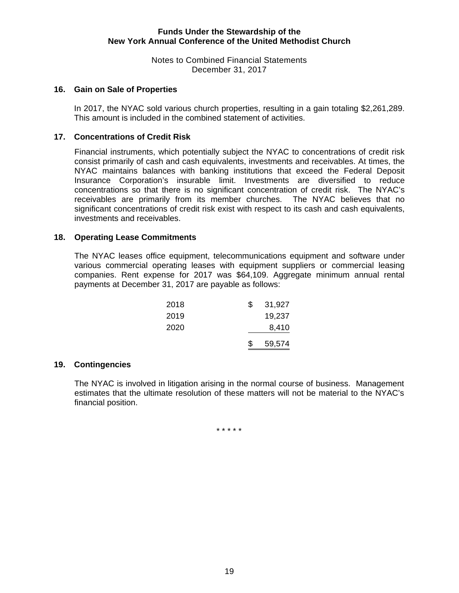Notes to Combined Financial Statements December 31, 2017

#### **16. Gain on Sale of Properties**

In 2017, the NYAC sold various church properties, resulting in a gain totaling \$2,261,289. This amount is included in the combined statement of activities.

#### **17. Concentrations of Credit Risk**

Financial instruments, which potentially subject the NYAC to concentrations of credit risk consist primarily of cash and cash equivalents, investments and receivables. At times, the NYAC maintains balances with banking institutions that exceed the Federal Deposit Insurance Corporation's insurable limit. Investments are diversified to reduce concentrations so that there is no significant concentration of credit risk. The NYAC's receivables are primarily from its member churches. The NYAC believes that no significant concentrations of credit risk exist with respect to its cash and cash equivalents, investments and receivables.

#### **18. Operating Lease Commitments**

The NYAC leases office equipment, telecommunications equipment and software under various commercial operating leases with equipment suppliers or commercial leasing companies. Rent expense for 2017 was \$64,109. Aggregate minimum annual rental payments at December 31, 2017 are payable as follows:

|      | \$. | 59,574 |
|------|-----|--------|
| 2020 |     | 8,410  |
| 2019 |     | 19,237 |
| 2018 | \$. | 31,927 |

# **19. Contingencies**

The NYAC is involved in litigation arising in the normal course of business. Management estimates that the ultimate resolution of these matters will not be material to the NYAC's financial position.

\* \* \* \* \*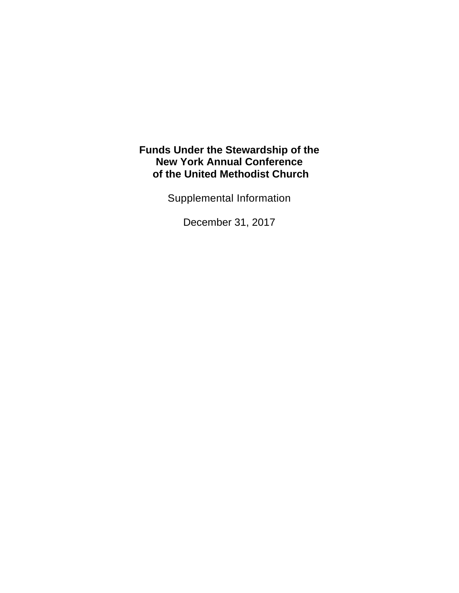Supplemental Information

December 31, 2017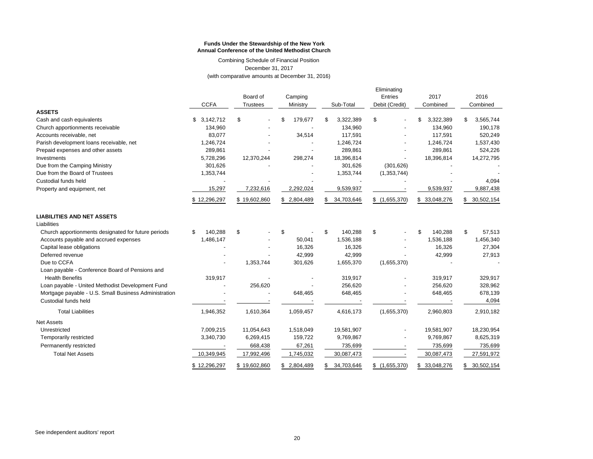Combining Schedule of Financial Position December 31, 2017

(with comparative amounts at December 31, 2016)

|                                                       | Board of<br>Camping<br><b>CCFA</b><br><b>Trustees</b><br>Ministry |              | Sub-Total     | Eliminating<br>Entries<br>Debit (Credit) | 2017<br>Combined | 2016<br>Combined |                  |
|-------------------------------------------------------|-------------------------------------------------------------------|--------------|---------------|------------------------------------------|------------------|------------------|------------------|
| <b>ASSETS</b>                                         |                                                                   |              |               |                                          |                  |                  |                  |
| Cash and cash equivalents                             | 3,142,712<br>\$                                                   | \$           | 179,677<br>\$ | 3,322,389<br>\$                          | \$               | \$<br>3,322,389  | 3,565,744<br>\$  |
| Church apportionments receivable                      | 134,960                                                           |              |               | 134,960                                  |                  | 134,960          | 190,178          |
| Accounts receivable, net                              | 83,077                                                            |              | 34,514        | 117,591                                  |                  | 117,591          | 520,249          |
| Parish development loans receivable, net              | 1,246,724                                                         |              |               | 1,246,724                                |                  | 1,246,724        | 1,537,430        |
| Prepaid expenses and other assets                     | 289,861                                                           |              |               | 289.861                                  |                  | 289,861          | 524,226          |
| Investments                                           | 5,728,296                                                         | 12,370,244   | 298,274       | 18,396,814                               |                  | 18,396,814       | 14,272,795       |
| Due from the Camping Ministry                         | 301,626                                                           |              |               | 301,626                                  | (301, 626)       |                  |                  |
| Due from the Board of Trustees                        | 1,353,744                                                         |              |               | 1,353,744                                | (1, 353, 744)    |                  |                  |
| Custodial funds held                                  |                                                                   |              |               |                                          |                  |                  | 4,094            |
| Property and equipment, net                           | 15,297                                                            | 7,232,616    | 2,292,024     | 9,539,937                                |                  | 9,539,937        | 9,887,438        |
|                                                       | \$12,296,297                                                      | \$19,602,860 | \$2,804,489   | 34,703,646<br>S.                         | \$(1,655,370)    | \$ 33,048,276    | 30,502,154<br>\$ |
| <b>LIABILITIES AND NET ASSETS</b><br>Liabilities      |                                                                   |              |               |                                          |                  |                  |                  |
| Church apportionments designated for future periods   | 140,288<br>\$                                                     | \$           | \$            | \$<br>140,288                            | \$               | \$<br>140,288    | \$<br>57,513     |
| Accounts payable and accrued expenses                 | 1,486,147                                                         |              | 50,041        | 1,536,188                                |                  | 1,536,188        | 1,456,340        |
| Capital lease obligations                             |                                                                   |              | 16,326        | 16,326                                   |                  | 16,326           | 27,304           |
| Deferred revenue                                      |                                                                   |              | 42,999        | 42,999                                   |                  | 42,999           | 27,913           |
| Due to CCFA                                           |                                                                   | 1,353,744    | 301,626       | 1,655,370                                | (1,655,370)      |                  |                  |
| Loan payable - Conference Board of Pensions and       |                                                                   |              |               |                                          |                  |                  |                  |
| <b>Health Benefits</b>                                | 319,917                                                           |              |               | 319,917                                  |                  | 319,917          | 329,917          |
| Loan payable - United Methodist Development Fund      |                                                                   | 256,620      |               | 256,620                                  |                  | 256,620          | 328,962          |
| Mortgage payable - U.S. Small Business Administration |                                                                   |              | 648,465       | 648,465                                  |                  | 648,465          | 678,139          |
| Custodial funds held                                  |                                                                   |              |               |                                          |                  |                  | 4,094            |
| <b>Total Liabilities</b>                              | 1,946,352                                                         | 1,610,364    | 1,059,457     | 4,616,173                                | (1,655,370)      | 2,960,803        | 2,910,182        |
| Net Assets                                            |                                                                   |              |               |                                          |                  |                  |                  |
| Unrestricted                                          | 7,009,215                                                         | 11,054,643   | 1,518,049     | 19,581,907                               |                  | 19,581,907       | 18,230,954       |
| Temporarily restricted                                | 3,340,730                                                         | 6,269,415    | 159,722       | 9,769,867                                |                  | 9,769,867        | 8,625,319        |
| Permanently restricted                                |                                                                   | 668,438      | 67,261        | 735,699                                  |                  | 735,699          | 735,699          |
| <b>Total Net Assets</b>                               | 10,349,945                                                        | 17,992,496   | 1,745,032     | 30,087,473                               |                  | 30,087,473       | 27,591,972       |
|                                                       | \$12,296,297                                                      | \$19,602,860 | \$2.804.489   | 34,703,646<br>\$                         | \$(1,655,370)    | \$<br>33,048,276 | 30,502,154<br>\$ |